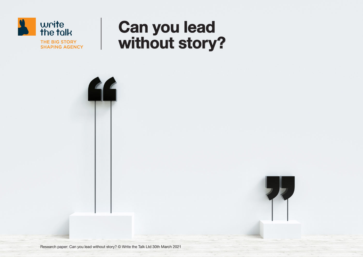

# Can you lead without story?



Research paper: Can you lead without story? © Write the Talk Ltd 30th March 2021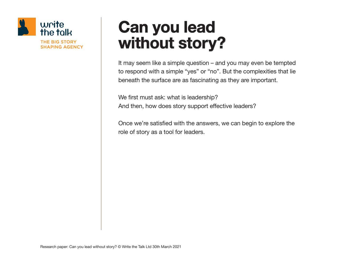

# Can you lead without story?

It may seem like a simple question – and you may even be tempted to respond with a simple "yes" or "no". But the complexities that lie beneath the surface are as fascinating as they are important.

We first must ask: what is leadership? And then, how does story support effective leaders?

Once we're satisfied with the answers, we can begin to explore the role of story as a tool for leaders.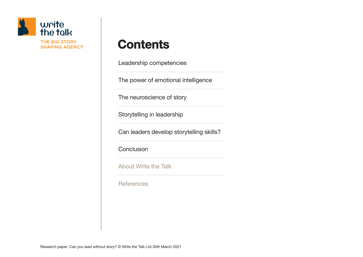

# **Contents**

Leadership competencies

The power of emotional intelligence

The neuroscience of story

Storytelling in leadership

Can leaders develop storytelling skills?

**Conclusion** 

About Write the Talk

**References**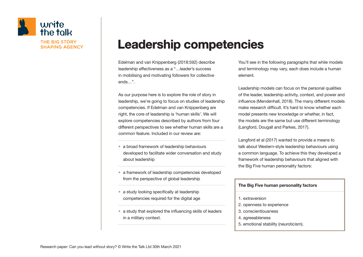

# Leadership competencies

Edelman and van Knippenberg (2018:592) describe leadership effectiveness as a "…leader's success in mobilising and motivating followers for collective ends…".

As our purpose here is to explore the role of story in leadership, we're going to focus on studies of leadership competencies. If Edelman and van Knippenberg are right, the core of leadership is 'human skills'. We will explore competencies described by authors from four different perspectives to see whether human skills are a common feature. Included in our review are:

- a broad framework of leadership behaviours developed to facilitate wider conversation and study about leadership
- a framework of leadership competencies developed from the perspective of global leadership
- a study looking specifically at leadership competencies required for the digital age
- a study that explored the influencing skills of leaders in a military context.

You'll see in the following paragraphs that while models and terminology may vary, each does include a human element.

Leadership models can focus on the personal qualities of the leader, leadership activity, context, and power and influence (Mendenhall, 2018). The many different models make research difficult. It's hard to know whether each model presents new knowledge or whether, in fact, the models are the same but use different terminology (Langford, Dougall and Parkes, 2017).

Langford et al (2017) wanted to provide a means to talk about Western-style leadership behaviours using a common language. To achieve this they developed a framework of leadership behaviours that aligned with the Big Five human personality factors:

### The Big Five human personality factors 1. extraversion

- 2. openness to experience
- 3. conscientiousness
- 4. agreeableness
- 5. emotional stability (neuroticism).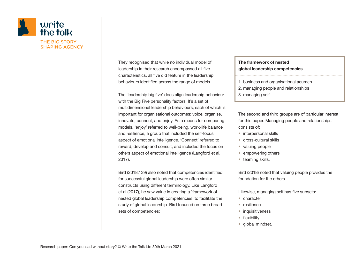

They recognised that while no individual model of leadership in their research encompassed all five characteristics, all five did feature in the leadership behaviours identified across the range of models.

The 'leadership big five' does align leadership behaviour with the Big Five personality factors. It's a set of multidimensional leadership behaviours, each of which is important for organisational outcomes: voice, organise, innovate, connect, and enjoy. As a means for comparing models, 'enjoy' referred to well-being, work-life balance and resilience, a group that included the self-focus aspect of emotional intelligence. 'Connect' referred to reward, develop and consult, and included the focus on others aspect of emotional intelligence (Langford et al, 2017).

Bird (2018:139) also noted that competencies identified for successful global leadership were often similar constructs using different terminology. Like Langford et al (2017), he saw value in creating a 'framework of nested global leadership competencies' to facilitate the study of global leadership. Bird focused on three broad sets of competencies:

### The framework of nested global leadership competencies 1. business and organisational acumen 2. managing people and relationships 3. managing self.

The second and third groups are of particular interest for this paper. Managing people and relationships consists of:

- interpersonal skills
- cross-cultural skills
- valuing people
- empowering others
- teaming skills.

Bird (2018) noted that valuing people provides the foundation for the others.

Likewise, managing self has five subsets:

- character
- resilience
- inquisitiveness
- flexibility
- global mindset.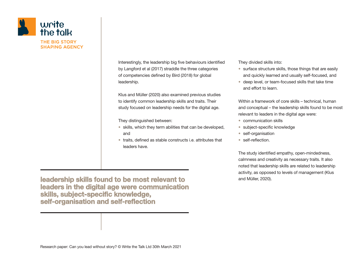

Interestingly, the leadership big five behaviours identified by Langford et al (2017) straddle the three categories of competencies defined by Bird (2018) for global leadership.

Klus and Müller (2020) also examined previous studies to identify common leadership skills and traits. Their study focused on leadership needs for the digital age.

They distinguished between:

- skills, which they term abilities that can be developed, and
- traits, defined as stable constructs i.e. attributes that leaders have.

leadership skills found to be most relevant to leaders in the digital age were communication skills, subject-specific knowledge, self-organisation and self-reflection

They divided skills into:

- surface structure skills, those things that are easily and quickly learned and usually self-focused, and
- deep level, or team-focused skills that take time and effort to learn.

Within a framework of core skills – technical, human and conceptual – the leadership skills found to be most relevant to leaders in the digital age were:

- communication skills
- subject-specific knowledge
- self-organisation
- self-reflection.

The study identified empathy, open-mindedness, calmness and creativity as necessary traits. It also noted that leadership skills are related to leadership activity, as opposed to levels of management (Klus and Müller, 2020).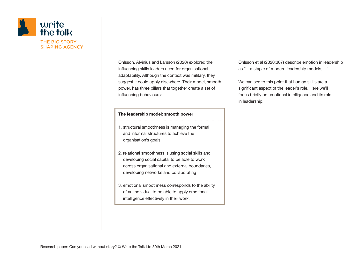

Ohlsson, Alvinius and Larsson (2020) explored the influencing skills leaders need for organisational adaptability. Although the context was military, they suggest it could apply elsewhere. Their model, smooth power, has three pillars that together create a set of influencing behaviours:

#### The leadership model: smooth power

- 1. structural smoothness is managing the formal and informal structures to achieve the organisation's goals
- 2. relational smoothness is using social skills and developing social capital to be able to work across organisational and external boundaries, developing networks and collaborating
- 3. emotional smoothness corresponds to the ability of an individual to be able to apply emotional intelligence effectively in their work.

Ohlsson et al (2020:307) describe emotion in leadership as "…a staple of modern leadership models,…".

We can see to this point that human skills are a significant aspect of the leader's role. Here we'll focus briefly on emotional intelligence and its role in leadership.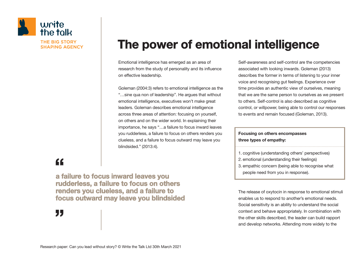

# The power of emotional intelligence

Emotional intelligence has emerged as an area of research from the study of personality and its influence on effective leadership.

Goleman (2004:3) refers to emotional intelligence as the "…sine qua non of leadership". He argues that without emotional intelligence, executives won't make great leaders. Goleman describes emotional intelligence across three areas of attention: focusing on yourself, on others and on the wider world. In explaining their importance, he says "…a failure to focus inward leaves you rudderless, a failure to focus on others renders you clueless, and a failure to focus outward may leave you blindsided." (2013:4).

Self-awareness and self-control are the competencies associated with looking inwards. Goleman (2013) describes the former in terms of listening to your inner voice and recognising gut feelings. Experience over time provides an authentic view of ourselves, meaning that we are the same person to ourselves as we present to others. Self-control is also described as cognitive control, or willpower, being able to control our responses to events and remain focused (Goleman, 2013).

#### Focusing on others encompasses three types of empathy:

1. cognitive (understanding others' perspectives) 2. emotional (understanding their feelings) 3. empathic concern (being able to recognise what people need from you in response).

The release of oxytocin in response to emotional stimuli enables us to respond to another's emotional needs. Social sensitivity is an ability to understand the social context and behave appropriately. In combination with the other skills described, the leader can build rapport and develop networks. Attending more widely to the

## "

a failure to focus inward leaves you rudderless, a failure to focus on others renders you clueless, and a failure to focus outward may leave you blindsided a<br>a<br>n a<br>ru

 $\overline{)}$ **"**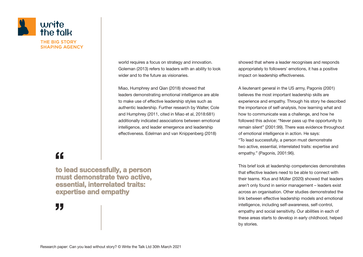

world requires a focus on strategy and innovation. Goleman (2013) refers to leaders with an ability to look wider and to the future as visionaries.

Miao, Humphrey and Qian (2018) showed that leaders demonstrating emotional intelligence are able to make use of effective leadership styles such as authentic leadership. Further research by Walter, Cole and Humphrey (2011, cited in Miao et al, 2018:681) additionally indicated associations between emotional intelligence, and leader emergence and leadership effectiveness. Edelman and van Knippenberg (2018)

showed that where a leader recognises and responds appropriately to followers' emotions, it has a positive impact on leadership effectiveness.

A lieutenant general in the US army, Pagonis (2001) believes the most important leadership skills are experience and empathy. Through his story he described the importance of self-analysis, how learning what and how to communicate was a challenge, and how he followed this advice: "Never pass up the opportunity to remain silent" (2001:99). There was evidence throughout of emotional intelligence in action. He says: "To lead successfully, a person must demonstrate two active, essential, interrelated traits: expertise and empathy." (Pagonis, 2001:96).

This brief look at leadership competencies demonstrates that effective leaders need to be able to connect with their teams. Klus and Müller (2020) showed that leaders aren't only found in senior management – leaders exist across an organisation. Other studies demonstrated the link between effective leadership models and emotional intelligence, including self-awareness, self-control, empathy and social sensitivity. Our abilities in each of these areas starts to develop in early childhood, helped by stories.

## "

to lead successfully, a person must demonstrate two active, essential, interrelated traits: expertise and empathy  $\frac{1}{10}$ to<br>m<br>ex

J) **"**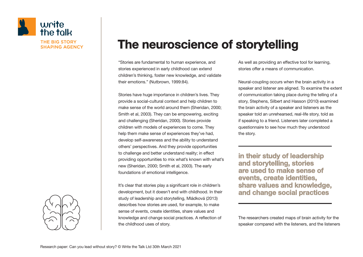

# The neuroscience of storytelling

"Stories are fundamental to human experience, and stories experienced in early childhood can extend children's thinking, foster new knowledge, and validate their emotions." (Nutbrown, 1999:84).

Stories have huge importance in children's lives. They provide a social-cultural context and help children to make sense of the world around them (Sheridan, 2000; Smith et al, 2003). They can be empowering, exciting and challenging (Sheridan, 2000). Stories provide children with models of experiences to come. They help them make sense of experiences they've had, develop self-awareness and the ability to understand others' perspectives. And they provide opportunities to challenge and better understand reality; in effect providing opportunities to mix what's known with what's new (Sheridan, 2000; Smith et al, 2003). The early foundations of emotional intelligence.

It's clear that stories play a significant role in children's development, but it doesn't end with childhood. In their study of leadership and storytelling, Mládková (2013) describes how stories are used, for example, to make sense of events, create identities, share values and knowledge and change social practices. A reflection of the childhood uses of story.

As well as providing an effective tool for learning, stories offer a means of communication.

Neural-coupling occurs when the brain activity in a speaker and listener are aligned. To examine the extent of communication taking place during the telling of a story, Stephens, Silbert and Hasson (2010) examined the brain activity of a speaker and listeners as the speaker told an unrehearsed, real-life story, told as if speaking to a friend. Listeners later completed a questionnaire to see how much they understood the story.

in their study of leadership and storytelling, stories are used to make sense of events, create identities, share values and knowledge, and change social practices

The researchers created maps of brain activity for the speaker compared with the listeners, and the listeners

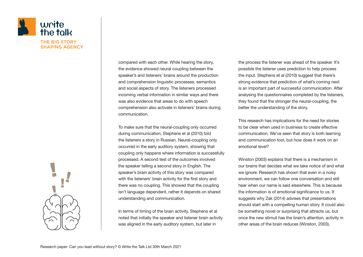

compared with each other. While hearing the story, the evidence showed neural coupling between the speaker's and listeners' brains around the production and comprehension linguistic processes, semantics and social aspects of story. The listeners processed incoming verbal information in similar ways and there was also evidence that areas to do with speech comprehension also activate in listeners' brains during communication.

To make sure that the neural-coupling only occurred during communication, Stephens et al (2010) told the listeners a story in Russian. Neural-coupling only occurred in the early auditory system, showing that coupling only happens where information is successfully processed. A second test of the outcomes involved the speaker telling a second story in English. The speaker's brain activity of this story was compared with the listeners' brain activity for the first story and there was no coupling. This showed that the coupling isn't language dependent, rather it depends on shared understanding and communication.

In terms of timing of the brain activity, Stephens et al noted that initially the speaker and listener brain activity was aligned in the early auditory system, but later in

the process the listener was ahead of the speaker. It's possible the listener uses prediction to help process the input. Stephens et al (2010) suggest that there's strong evidence that prediction of what's coming next is an important part of successful communication. After analysing the questionnaires completed by the listeners, they found that the stronger the neural-coupling, the better the understanding of the story.

This research has implications for the need for stories to be clear when used in business to create effective communication. We've seen that story is both learning and communication tool, but how does it work on an emotional level?

Winston (2003) explains that there is a mechanism in our brains that decides what we take notice of and what we ignore. Research has shown that even in a noisy environment, we can follow one conversation and still hear when our name is said elsewhere. This is because the information is of emotional significance to us. It suggests why Zak (2014) advises that presentations should start with a compelling human story. It could also be something novel or surprising that attracts us, but once the new stimuli has the brain's attention, activity in other areas of the brain reduces (Winston, 2003).

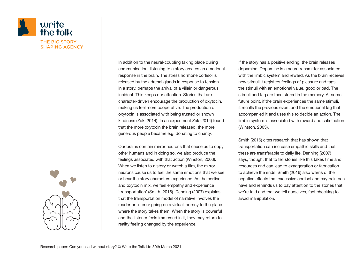

In addition to the neural-coupling taking place during communication, listening to a story creates an emotional response in the brain. The stress hormone cortisol is released by the adrenal glands in response to tension in a story, perhaps the arrival of a villain or dangerous incident. This keeps our attention. Stories that are character-driven encourage the production of oxytocin, making us feel more cooperative. The production of oxytocin is associated with being trusted or shown kindness (Zak, 2014). In an experiment Zak (2014) found that the more oxytocin the brain released, the more generous people became e.g. donating to charity.

Our brains contain mirror neurons that cause us to copy other humans and in doing so, we also produce the feelings associated with that action (Winston, 2003). When we listen to a story or watch a film, the mirror neurons cause us to feel the same emotions that we see or hear the story characters experience. As the cortisol and oxytocin mix, we feel empathy and experience 'transportation' (Smith, 2016). Denning (2007) explains that the transportation model of narrative involves the reader or listener going on a virtual journey to the place where the story takes them. When the story is powerful and the listener feels immersed in it, they may return to reality feeling changed by the experience.

If the story has a positive ending, the brain releases dopamine. Dopamine is a neurotransmitter associated with the limbic system and reward. As the brain receives new stimuli it registers feelings of pleasure and tags the stimuli with an emotional value, good or bad. The stimuli and tag are then stored in the memory. At some future point, if the brain experiences the same stimuli, it recalls the previous event and the emotional tag that accompanied it and uses this to decide an action. The limbic system is associated with reward and satisfaction (Winston, 2003).

Smith (2016) cites research that has shown that transportation can increase empathic skills and that these are transferable to daily life. Denning (2007) says, though, that to tell stories like this takes time and resources and can lead to exaggeration or fabrication to achieve the ends. Smith (2016) also warns of the negative effects that excessive cortisol and oxytocin can have and reminds us to pay attention to the stories that we're told and that we tell ourselves, fact checking to avoid manipulation.

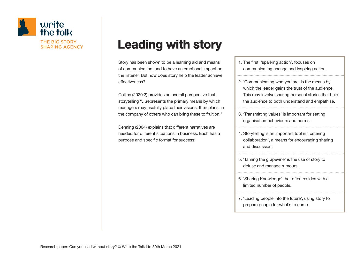

# Leading with story

Story has been shown to be a learning aid and means of communication, and to have an emotional impact on the listener. But how does story help the leader achieve effectiveness?

Collins (2020:2) provides an overall perspective that storytelling "…represents the primary means by which managers may usefully place their visions, their plans, in the company of others who can bring these to fruition."

Denning (2004) explains that different narratives are needed for different situations in business. Each has a purpose and specific format for success:

1. The first, 'sparking action', focuses on communicating change and inspiring action.

- 2. 'Communicating who you are' is the means by which the leader gains the trust of the audience. This may involve sharing personal stories that help the audience to both understand and empathise.
- 3. 'Transmitting values' is important for setting organisation behaviours and norms.
- 4. Storytelling is an important tool in 'fostering collaboration', a means for encouraging sharing and discussion.
- 5. 'Taming the grapevine' is the use of story to defuse and manage rumours.
- 6. 'Sharing Knowledge' that often resides with a limited number of people.
- 7. 'Leading people into the future', using story to prepare people for what's to come.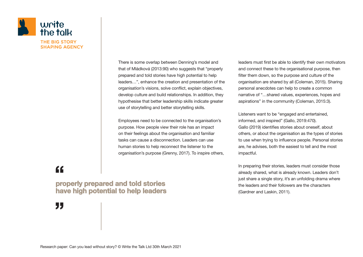

There is some overlap between Denning's model and that of Mládková (2013:90) who suggests that "properly prepared and told stories have high potential to help leaders…", enhance the creation and presentation of the organisation's visions, solve conflict, explain objectives, develop culture and build relationships. In addition, they hypothesise that better leadership skills indicate greater use of storytelling and better storytelling skills.

Employees need to be connected to the organisation's purpose. How people view their role has an impact on their feelings about the organisation and familiar tasks can cause a disconnection. Leaders can use human stories to help reconnect the listener to the organisation's purpose (Grenny, 2017). To inspire others, leaders must first be able to identify their own motivators and connect these to the organisational purpose, then filter them down, so the purpose and culture of the organisation are shared by all (Coleman, 2015). Sharing personal anecdotes can help to create a common narrative of "…shared values, experiences, hopes and aspirations" in the community (Coleman, 2015:3).

Listeners want to be "engaged and entertained, informed, and inspired" (Gallo, 2019:470). Gallo (2019) identifies stories about oneself, about others, or about the organisation as the types of stories to use when trying to influence people. Personal stories are, he advises, both the easiest to tell and the most impactful.

In preparing their stories, leaders must consider those already shared, what is already known. Leaders don't just share a single story, it's an unfolding drama where the leaders and their followers are the characters (Gardner and Laskin, 2011).

"

properly prepared and told stories have high potential to help leaders p<br>p<br>h: p<br>ha

J) **"**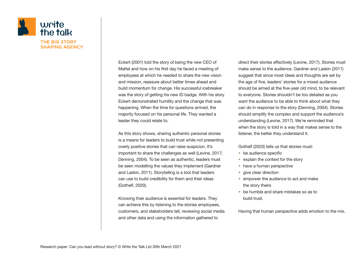

Eckert (2001) told the story of being the new CEO of Mattel and how on his first day he faced a meeting of employees at which he needed to share the new vision and mission, reassure about better times ahead and build momentum for change. His successful icebreaker was the story of getting his new ID badge. With his story Eckert demonstrated humility and the change that was happening. When the time for questions arrived, the majority focused on his personal life. They wanted a leader they could relate to.

As this story shows, sharing authentic personal stories is a means for leaders to build trust while not presenting overly positive stories that can raise suspicion. It's important to share the challenges as well (Levine, 2017; Denning, 2004). To be seen as authentic, leaders must be seen modelling the values they implement (Gardner and Laskin, 2011). Storytelling is a tool that leaders can use to build credibility for them and their ideas (Gothelf, 2020).

Knowing their audience is essential for leaders. They can achieve this by listening to the stories employees, customers, and stakeholders tell, reviewing social media and other data and using the information gathered to

direct their stories effectively (Levine, 2017). Stories must make sense to the audience. Gardner and Laskin (2011) suggest that since most ideas and thoughts are set by the age of five, leaders' stories for a mixed audience should be aimed at the five-year old mind, to be relevant to everyone. Stories shouldn't be too detailed as you want the audience to be able to think about what they can do in response to the story (Denning, 2004). Stories should simplify the complex and support the audience's understanding (Levine, 2017). We're reminded that when the story is told in a way that makes sense to the listener, the better they understand it.

Gothelf (2020) tells us that stories must:

- be audience specific
- explain the context for the story
- have a human perspective
- give clear direction
- empower the audience to act and make the story theirs
- be humble and share mistakes so as to build trust.

Having that human perspective adds emotion to the mix.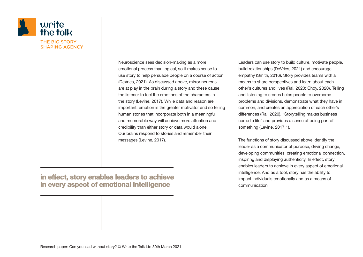

Neuroscience sees decision-making as a more emotional process than logical, so it makes sense to use story to help persuade people on a course of action (DeVries, 2021). As discussed above, mirror neurons are at play in the brain during a story and these cause the listener to feel the emotions of the characters in the story (Levine, 2017). While data and reason are important, emotion is the greater motivator and so telling human stories that incorporate both in a meaningful and memorable way will achieve more attention and credibility than either story or data would alone. Our brains respond to stories and remember their messages (Levine, 2017).

Leaders can use story to build culture, motivate people, build relationships (DeVries, 2021) and encourage empathy (Smith, 2016). Story provides teams with a means to share perspectives and learn about each other's cultures and lives (Rai, 2020; Choy, 2020). Telling and listening to stories helps people to overcome problems and divisions, demonstrate what they have in common, and creates an appreciation of each other's differences (Rai, 2020). "Storytelling makes business come to life" and provides a sense of being part of something (Levine, 2017:1).

The functions of story discussed above identify the leader as a communicator of purpose, driving change, developing communities, creating emotional connection, inspiring and displaying authenticity. In effect, story enables leaders to achieve in every aspect of emotional intelligence. And as a tool, story has the ability to impact individuals emotionally and as a means of communication.

#### in effect, story enables leaders to achieve in every aspect of emotional intelligence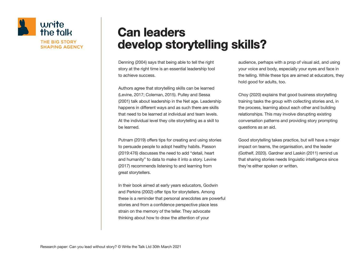

## Can leaders develop storytelling skills?

Denning (2004) says that being able to tell the right story at the right time is an essential leadership tool to achieve success.

Authors agree that storytelling skills can be learned (Levine, 2017; Coleman, 2015). Pulley and Sessa (2001) talk about leadership in the Net age. Leadership happens in different ways and as such there are skills that need to be learned at individual and team levels. At the individual level they cite storytelling as a skill to be learned.

Putnam (2019) offers tips for creating and using stories to persuade people to adopt healthy habits. Passon (2019:476) discusses the need to add "detail, heart and humanity" to data to make it into a story. Levine (2017) recommends listening to and learning from great storytellers.

In their book aimed at early years educators, Godwin and Perkins (2002) offer tips for storytellers. Among these is a reminder that personal anecdotes are powerful stories and from a confidence perspective place less strain on the memory of the teller. They advocate thinking about how to draw the attention of your

audience, perhaps with a prop of visual aid, and using your voice and body, especially your eyes and face in the telling. While these tips are aimed at educators, they hold good for adults, too.

Choy (2020) explains that good business storytelling training tasks the group with collecting stories and, in the process, learning about each other and building relationships. This may involve disrupting existing conversation patterns and providing story prompting questions as an aid.

Good storytelling takes practice, but will have a major impact on teams, the organisation, and the leader (Gothelf, 2020). Gardner and Laskin (2011) remind us that sharing stories needs linguistic intelligence since they're either spoken or written.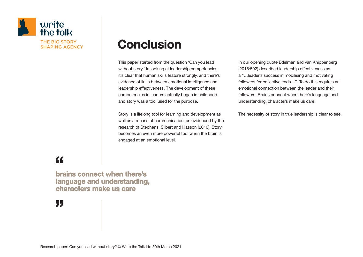

# **Conclusion**

This paper started from the question 'Can you lead without story.' In looking at leadership competencies it's clear that human skills feature strongly, and there's evidence of links between emotional intelligence and leadership effectiveness. The development of these competencies in leaders actually began in childhood and story was a tool used for the purpose.

Story is a lifelong tool for learning and development as well as a means of communication, as evidenced by the research of Stephens, Silbert and Hasson (2010). Story becomes an even more powerful tool when the brain is engaged at an emotional level.

In our opening quote Edelman and van Knippenberg (2018:592) described leadership effectiveness as a "…leader's success in mobilising and motivating followers for collective ends…". To do this requires an emotional connection between the leader and their followers. Brains connect when there's language and understanding, characters make us care.

The necessity of story in true leadership is clear to see.

"

brains connect when there's language and understanding, characters make us care i<br>bi<br>la b<br>la<br>cl

J) **"**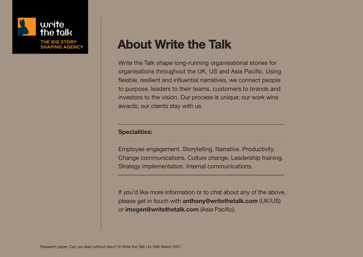

# About Write the Talk

Write the Talk shape long-running organisational stories for organisations throughout the UK, US and Asia Pacific. Using flexible, resilient and influential narratives, we connect people to purpose, leaders to their teams, customers to brands and investors to the vision. Our process is unique; our work wins awards; our clients stay with us.

#### Specialities:

Employee engagement. Storytelling. Narrative. Productivity. Change communications. Culture change. Leadership training. Strategy implementation. Internal communications.

If you'd like more information or to chat about any of the above, please get in touch with anthony@writethetalk.com (UK/US) or imogen@writethetalk.com (Asia Pacific).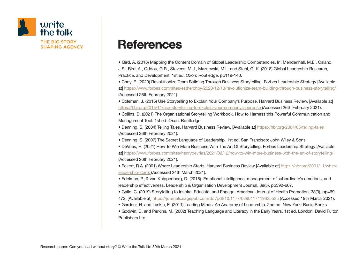

## **References**

• Bird, A. (2018) Mapping the Content Domain of Global Leadership Competencies. In: Mendenhall, M.E., Osland, J.S., Bird, A., Oddou, G.R., Stevens, M.J., Maznevski, M.L. and Stahl, G. K. (2018) Global Leadership Research, Practice, and Development. 1st ed. Oxon: Routledge, pp119-140.

• Choy, E. (2020) Revolutionize Team Building Through Business Storytelling. Forbes Leadership Strategy [Available at] https://www.forbes.com/sites/estherchoy/2020/12/13/revolutionize-team-building-through-business-storytelling/ (Accessed 26th February 2021).

• Coleman, J. (2015) Use Storytelling to Explain Your Company's Purpose. Harvard Business Review. [Available at] https://hbr.org/2015/11/use-storytelling-to-explain-your-companys-purpose (Accessed 26th February 2021).

• Collins, D. (2021) The Organisational Storytelling Workbook. How to Harness this Powerful Communication and Management Tool. 1st ed. Oxon: Routledge

• Denning, S. (2004) Telling Tales. Harvard Business Review. [Available at] https://hbr.org/2004/05/telling-tales (Accessed 26th February 2021).

- Denning, S. (2007) The Secret Language of Leadership. 1st ed. San Francisco: John Wiley & Sons.
- DeVries, H. (2021) How To Win More Business With The Art Of Storytelling. Forbes Leadership Strategy [Available at] https://www.forbes.com/sites/henrydevries/2021/02/12/how-to-win-more-business-with-the-art-of-storytelling/ (Accessed 26th February 2021).
- Eckert, R.A. (2001) Where Leadership Starts. Harvard Business Review [Available at] https://hbr.org/2001/11/whereleadership-starts (Accessed 24th March 2021).

• Edelman, P., & van Knippenberg, D. (2018). Emotional intelligence, management of subordinate's emotions, and leadership effectiveness. Leadership & Organisation Development Journal, 39(5), pp592-607.

• Gallo, C. (2019) Storytelling to Inspire, Educate, and Engage. American Journal of Health Promotion, 33(3), pp469- 472. [Available at] https://journals.sagepub.com/doi/pdf/10.1177/0890117119825525 (Accessed 19th March 2021).

• Gardner, H. and Laskin, E. (2011) Leading Minds: An Anatomy of Leadership. 2nd ed. New York: Basic Books

• Godwin, D. and Perkins, M. (2002) Teaching Language and Literacy in the Early Years. 1st ed. London: David Fulton Publishers Ltd.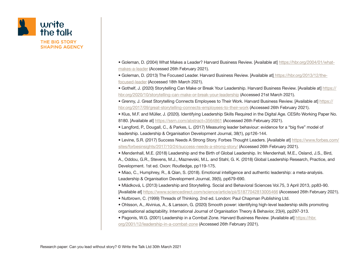

- Goleman, D. (2004) What Makes a Leader? Harvard Business Review. [Available at] https://hbr.org/2004/01/whatmakes-a-leader (Accessed 26th February 2021).
- Goleman, D. (2013) The Focused Leader. Harvard Business Review. [Available at] https://hbr.org/2013/12/thefocused-leader (Accessed 18th March 2021).
- Gothelf, J. (2020) Storytelling Can Make or Break Your Leadership. Harvard Business Review. [Available at] https:// hbr.org/2020/10/storytelling-can-make-or-break-your-leadership (Accessed 21st March 2021).
- Grenny, J. Great Storytelling Connects Employees to Their Work. Harvard Business Review. [Available at] https:// hbr.org/2017/09/great-storytelling-connects-employees-to-their-work (Accessed 26th February 2021).
- Klus, M.F. and Müller, J. (2020). Identifying Leadership Skills Required in the Digital Age. CESifo Working Paper No. 8180. [Available at] https://ssrn.com/abstract=3564861 (Accessed 26th February 2021).
- Langford, P., Dougall, C., & Parkes, L. (2017) Measuring leader behaviour: evidence for a "big five" model of leadership. Leadership & Organisation Development Journal, 38(1), pp126-144.
- Levine, S.R. (2017) Success Needs A Strong Story. Forbes Thought Leaders. [Available at] https://www.forbes.com/ sites/forbesinsights/2017/10/24/success-needs-a-strong-story/ (Accessed 26th February 2021).
- Mendenhall, M.E. (2018) Leadership and the Birth of Global Leadership. In: Mendenhall, M.E., Osland, J.S., Bird, A., Oddou, G.R., Stevens, M.J., Maznevski, M.L. and Stahl, G. K. (2018) Global Leadership Research, Practice, and Development. 1st ed. Oxon: Routledge, pp119-175.
- Miao, C., Humphrey, R., & Qian, S. (2018). Emotional intelligence and authentic leadership: a meta-analysis. Leadership & Organisation Development Journal, 39(5), pp679-690.
- Mládková, L (2013) Leadership and Storytelling. Social and Behavioral Sciences Vol.75, 3 April 2013, pp83-90. [Available at] https://www.sciencedirect.com/science/article/pii/S1877042813005466 (Accessed 26th February 2021).
- Nutbrown, C. (1999) Threads of Thinking. 2nd ed. London: Paul Chapman Publishing Ltd.
- Ohlsson, A., Alvinius, A., & Larsson, G. (2020) Smooth power: identifying high-level leadership skills promoting organisational adaptability. International Journal of Organisation Theory & Behavior, 23(4), pp297-313.
- Pagonis, W.G. (2001) Leadership in a Combat Zone. Harvard Business Review. [Available at] https://hbr. org/2001/12/leadership-in-a-combat-zone (Accessed 26th February 2021).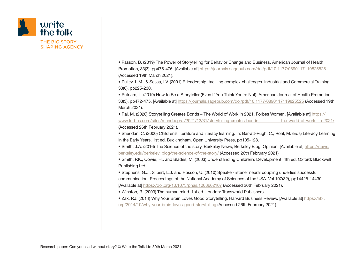

• Passon, B. (2019) The Power of Storytelling for Behavior Change and Business. American Journal of Health Promotion, 33(3), pp475-476. [Available at] https://journals.sagepub.com/doi/pdf/10.1177/0890117119825525 (Accessed 19th March 2021).

• Pulley, L.M., & Sessa, I.V. (2001) E-leadership: tackling complex challenges. Industrial and Commercial Training, 33(6), pp225-230.

• Putnam, L. (2019) How to Be a Storyteller (Even If You Think You're Not). American Journal of Health Promotion, 33(3), pp472-475. [Available at] https://journals.sagepub.com/doi/pdf/10.1177/0890117119825525 (Accessed 19th March 2021).

• Rai, M. (2020) Storytelling Creates Bonds – The World of Work In 2021. Forbes Women. [Available at] https:// www.forbes.com/sites/mandeeprai/2021/12/31/storytelling-creates-bonds--------------the-world-of-work--in-2021/ (Accessed 26th February 2021).

• Sheridan, C. (2000) Children's literature and literacy learning. In: Barratt-Pugh, C., Rohl, M. (Eds) Literacy Learning in the Early Years. 1st ed. Buckingham, Open University Press, pp105-128.

• Smith, J.A. (2016) The Science of the story. Berkeley News, Berkeley Blog, Opinion. [Available at] https://news. berkeley.edu/berkeley\_blog/the-science-of-the-story/ (Accessed 26th February 2021)

• Smith, P.K., Cowie, H., and Blades, M. (2003) Understanding Children's Development. 4th ed. Oxford: Blackwell Publishing Ltd.

• Stephens, G.J., Silbert, L.J. and Hasson, U. (2010) Speaker-listener neural coupling underlies successful communication. Proceedings of the National Academy of Sciences of the USA. Vol.107(32), pp14425-14430. [Available at] https://doi.org/10.1073/pnas.1008662107 (Accessed 26th February 2021).

• Winston, R. (2003) The human mind. 1st ed. London: Transworld Publishers.

• Zak, P.J. (2014) Why Your Brain Loves Good Storytelling. Harvard Business Review. [Available at] https://hbr. org/2014/10/why-your-brain-loves-good-storytelling (Accessed 26th February 2021).